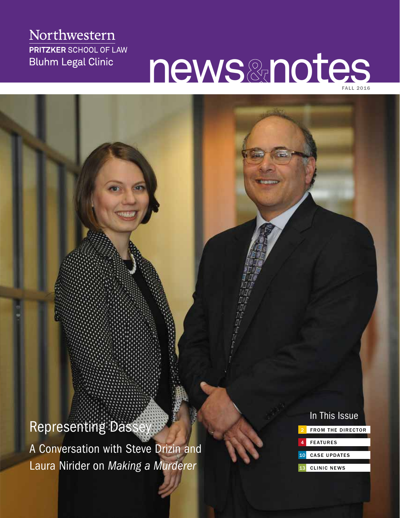## Northwestern **PRITZKER SCHOOL OF LAW Bluhm Legal Clinic**

# news & notes

**Representing Dass** 

A Conversation with Steve Drizin and Laura Nirider on *Making a Murderer*

## FROM THE DIRECTOR In This Issue

- **FEATURES**
- CASE UPDATES
- **CLINIC NEWS**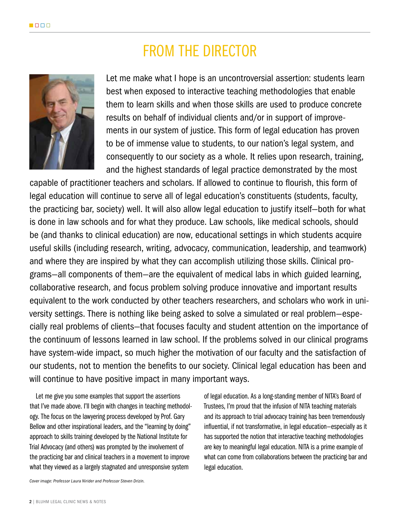# FROM THE DIRECTOR



Let me make what I hope is an uncontroversial assertion: students learn best when exposed to interactive teaching methodologies that enable them to learn skills and when those skills are used to produce concrete results on behalf of individual clients and/or in support of improvements in our system of justice. This form of legal education has proven to be of immense value to students, to our nation's legal system, and consequently to our society as a whole. It relies upon research, training, and the highest standards of legal practice demonstrated by the most

capable of practitioner teachers and scholars. If allowed to continue to flourish, this form of legal education will continue to serve all of legal education's constituents (students, faculty, the practicing bar, society) well. It will also allow legal education to justify itself—both for what is done in law schools and for what they produce. Law schools, like medical schools, should be (and thanks to clinical education) are now, educational settings in which students acquire useful skills (including research, writing, advocacy, communication, leadership, and teamwork) and where they are inspired by what they can accomplish utilizing those skills. Clinical programs—all components of them—are the equivalent of medical labs in which guided learning, collaborative research, and focus problem solving produce innovative and important results equivalent to the work conducted by other teachers researchers, and scholars who work in university settings. There is nothing like being asked to solve a simulated or real problem—especially real problems of clients—that focuses faculty and student attention on the importance of the continuum of lessons learned in law school. If the problems solved in our clinical programs have system-wide impact, so much higher the motivation of our faculty and the satisfaction of our students, not to mention the benefits to our society. Clinical legal education has been and will continue to have positive impact in many important ways.

Let me give you some examples that support the assertions that I've made above. I'll begin with changes in teaching methodology. The focus on the lawyering process developed by Prof. Gary Bellow and other inspirational leaders, and the "learning by doing" approach to skills training developed by the National Institute for Trial Advocacy (and others) was prompted by the involvement of the practicing bar and clinical teachers in a movement to improve what they viewed as a largely stagnated and unresponsive system

of legal education. As a long-standing member of NITA's Board of Trustees, I'm proud that the infusion of NITA teaching materials and its approach to trial advocacy training has been tremendously influential, if not transformative, in legal education—especially as it has supported the notion that interactive teaching methodologies are key to meaningful legal education. NITA is a prime example of what can come from collaborations between the practicing bar and legal education.

*Cover image: Professor Laura Nirider and Professor Steven Drizin.*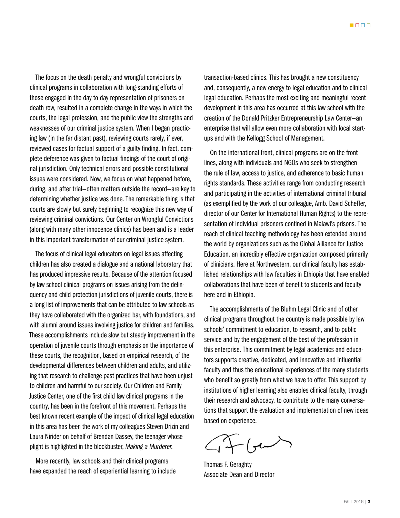The focus on the death penalty and wrongful convictions by clinical programs in collaboration with long-standing efforts of those engaged in the day to day representation of prisoners on death row, resulted in a complete change in the ways in which the courts, the legal profession, and the public view the strengths and weaknesses of our criminal justice system. When I began practicing law (in the far distant past), reviewing courts rarely, if ever, reviewed cases for factual support of a guilty finding. In fact, complete deference was given to factual findings of the court of original jurisdiction. Only technical errors and possible constitutional issues were considered. Now, we focus on what happened before, during, and after trial—often matters outside the record—are key to determining whether justice was done. The remarkable thing is that courts are slowly but surely beginning to recognize this new way of reviewing criminal convictions. Our Center on Wrongful Convictions (along with many other innocence clinics) has been and is a leader in this important transformation of our criminal justice system.

The focus of clinical legal educators on legal issues affecting children has also created a dialogue and a national laboratory that has produced impressive results. Because of the attention focused by law school clinical programs on issues arising from the delinquency and child protection jurisdictions of juvenile courts, there is a long list of improvements that can be attributed to law schools as they have collaborated with the organized bar, with foundations, and with alumni around issues involving justice for children and families. These accomplishments include slow but steady improvement in the operation of juvenile courts through emphasis on the importance of these courts, the recognition, based on empirical research, of the developmental differences between children and adults, and utilizing that research to challenge past practices that have been unjust to children and harmful to our society. Our Children and Family Justice Center, one of the first child law clinical programs in the country, has been in the forefront of this movement. Perhaps the best known recent example of the impact of clinical legal education in this area has been the work of my colleagues Steven Drizin and Laura Nirider on behalf of Brendan Dassey, the teenager whose plight is highlighted in the blockbuster, *Making a Murderer*.

More recently, law schools and their clinical programs have expanded the reach of experiential learning to include transaction-based clinics. This has brought a new constituency and, consequently, a new energy to legal education and to clinical legal education. Perhaps the most exciting and meaningful recent development in this area has occurred at this law school with the creation of the Donald Pritzker Entrepreneurship Law Center—an enterprise that will allow even more collaboration with local startups and with the Kellogg School of Management.

On the international front, clinical programs are on the front lines, along with individuals and NGOs who seek to strengthen the rule of law, access to justice, and adherence to basic human rights standards. These activities range from conducting research and participating in the activities of international criminal tribunal (as exemplified by the work of our colleague, Amb. David Scheffer, director of our Center for International Human Rights) to the representation of individual prisoners confined in Malawi's prisons. The reach of clinical teaching methodology has been extended around the world by organizations such as the Global Alliance for Justice Education, an incredibly effective organization composed primarily of clinicians. Here at Northwestern, our clinical faculty has established relationships with law faculties in Ethiopia that have enabled collaborations that have been of benefit to students and faculty here and in Ethiopia.

The accomplishments of the Bluhm Legal Clinic and of other clinical programs throughout the country is made possible by law schools' commitment to education, to research, and to public service and by the engagement of the best of the profession in this enterprise. This commitment by legal academics and educators supports creative, dedicated, and innovative and influential faculty and thus the educational experiences of the many students who benefit so greatly from what we have to offer. This support by institutions of higher learning also enables clinical faculty, through their research and advocacy, to contribute to the many conversations that support the evaluation and implementation of new ideas based on experience.

 $\mathcal{T}-(\mathcal{F}^{\perp})$ 

Thomas F. Geraghty Associate Dean and Director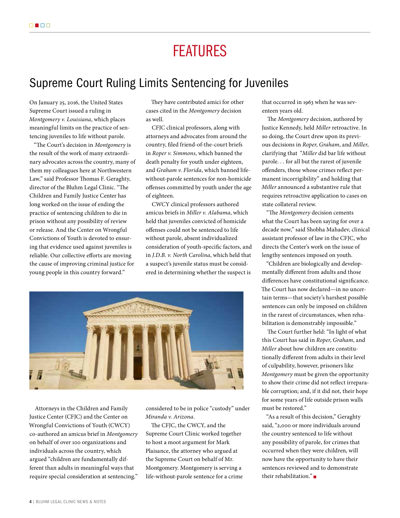# FEATURES

## Supreme Court Ruling Limits Sentencing for Juveniles

On January 25, 2016, the United States Supreme Court issued a ruling in *Montgomery v. Louisiana*, which places meaningful limits on the practice of sentencing juveniles to life without parole.

"The Court's decision in *Montgomery* is the result of the work of many extraordinary advocates across the country, many of them my colleagues here at Northwestern Law," said Professor Thomas F. Geraghty, director of the Bluhm Legal Clinic. "The Children and Family Justice Center has long worked on the issue of ending the practice of sentencing children to die in prison without any possibility of review or release. And the Center on Wrongful Convictions of Youth is devoted to ensuring that evidence used against juveniles is reliable. Our collective efforts are moving the cause of improving criminal justice for young people in this country forward."

They have contributed amici for other cases cited in the *Montgomery* decision as well.

CFJC clinical professors, along with attorneys and advocates from around the country, filed friend-of-the-court briefs in *Roper v. Simmons*, which banned the death penalty for youth under eighteen, and *Graham v. Florida*, which banned lifewithout-parole sentences for non-homicide offenses committed by youth under the age of eighteen.

CWCY clinical professors authored amicus briefs in *Miller v. Alabama*, which held that juveniles convicted of homicide offenses could not be sentenced to life without parole, absent individualized consideration of youth-specific factors, and in *J.D.B. v. North Carolina*, which held that a suspect's juvenile status must be considered in determining whether the suspect is



Attorneys in the Children and Family Justice Center (CFJC) and the Center on Wrongful Convictions of Youth (CWCY) co-authored an amicus brief in *Montgomery* on behalf of over 100 organizations and individuals across the country, which argued "children are fundamentally different than adults in meaningful ways that require special consideration at sentencing."

considered to be in police "custody" under *Miranda v. Arizona*.

The CFJC, the CWCY, and the Supreme Court Clinic worked together to host a moot argument for Mark Plaisance, the attorney who argued at the Supreme Court on behalf of Mr. Montgomery. Montgomery is serving a life-without-parole sentence for a crime that occurred in 1963 when he was seventeen years old.

The *Montgomery* decision, authored by Justice Kennedy, held *Miller* retroactive. In so doing, the Court drew upon its previous decisions in *Roper*, *Graham*, and *Miller*, clarifying that "*Miller* did bar life without parole. . . for all but the rarest of juvenile offenders, those whose crimes reflect permanent incorrigibility" and holding that *Miller* announced a substantive rule that requires retroactive application to cases on state collateral review.

"The *Montgomery* decision cements what the Court has been saying for over a decade now," said Shobha Mahadev, clinical assistant professor of law in the CFJC, who directs the Center's work on the issue of lengthy sentences imposed on youth.

"Children are biologically and developmentally different from adults and those differences have constitutional significance. The Court has now declared—in no uncertain terms—that society's harshest possible sentences can only be imposed on children in the rarest of circumstances, when rehabilitation is demonstrably impossible."

The Court further held: "In light of what this Court has said in *Roper*, *Graham*, and *Miller* about how children are constitutionally different from adults in their level of culpability, however, prisoners like *Montgomery* must be given the opportunity to show their crime did not reflect irreparable corruption; and, if it did not, their hope for some years of life outside prison walls must be restored."

"As a result of this decision," Geraghty said, "2,000 or more individuals around the country sentenced to life without any possibility of parole, for crimes that occurred when they were children, will now have the opportunity to have their sentences reviewed and to demonstrate their rehabilitation." $\blacksquare$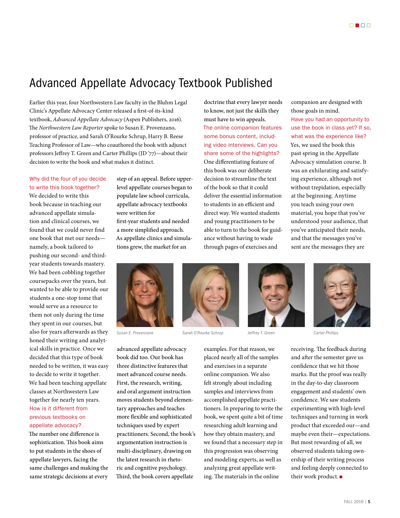## Advanced Appellate Advocacy Textbook Published

Earlier this year, four Northwestern Law faculty in the Bluhm Legal Clinic's Appellate Advocacy Center released a first-of-its-kind textbook, *Advanced Appellate Advocacy* (Aspen Publishers, 2016). The *Northwestern Law Reporter* spoke to Susan E. Provenzano, professor of practice, and Sarah O'Rourke Schrup, Harry B. Reese Teaching Professor of Law—who coauthored the book with adjunct professors Jeffrey T. Green and Carter Phillips (JD '77)—about their decision to write the book and what makes it distinct.

#### Why did the four of you decide to write this book together?

We decided to write this book because in teaching our advanced appellate simulation and clinical courses, we found that we could never find one book that met our needs namely, a book tailored to pushing our second- and thirdyear students towards mastery. We had been cobbling together coursepacks over the years, but wanted to be able to provide our students a one-stop tome that would serve as a resource to them not only during the time they spent in our courses, but also for years afterwards as they honed their writing and analytical skills in practice. Once we decided that this type of book needed to be written, it was easy to decide to write it together. We had been teaching appellate classes at Northwestern Law together for nearly ten years. How is it different from previous textbooks on appellate advocacy?

The number one difference is sophistication. This book aims to put students in the shoes of appellate lawyers, facing the same challenges and making the same strategic decisions at every

step of an appeal. Before upperlevel appellate courses began to populate law school curricula, appellate advocacy textbooks were written for first-year students and needed a more simplified approach. As appellate clinics and simulations grew, the market for an

doctrine that every lawyer needs to know, not just the skills they must have to win appeals. The online companion features some bonus content, including video interviews. Can you share some of the highlights? One differentiating feature of this book was our deliberate decision to streamline the text of the book so that it could deliver the essential information to students in an efficient and direct way. We wanted students and young practitioners to be able to turn to the book for guidance without having to wade through pages of exercises and

companion are designed with those goals in mind. Have you had an opportunity to use the book in class yet? If so, what was the experience like? Yes, we used the book this past spring in the Appellate Advocacy simulation course. It was an exhilarating and satisfying experience, although not without trepidation, especially at the beginning. Anytime you teach using your own material, you hope that you've understood your audience, that you've anticipated their needs, and that the messages you've sent are the messages they are



*Susan E. Provenzano Sarah O'Rourke Schrup Jeffrey T. Green Carter Phillips*

advanced appellate advocacy book did too. Our book has three distinctive features that meet advanced course needs. First, the research, writing, and oral argument instruction moves students beyond elementary approaches and teaches more flexible and sophisticated techniques used by expert practitioners. Second, the book's argumentation instruction is multi-disciplinary, drawing on the latest research in rhetoric and cognitive psychology. Third, the book covers appellate





examples. For that reason, we placed nearly all of the samples and exercises in a separate online companion. We also felt strongly about including samples and interviews from accomplished appellate practitioners. In preparing to write the book, we spent quite a bit of time researching adult learning and how they obtain mastery, and we found that a necessary step in this progression was observing and modeling experts, as well as analyzing great appellate writing. The materials in the online



receiving. The feedback during and after the semester gave us confidence that we hit those marks. But the proof was really in the day-to-day classroom engagement and students' own confidence. We saw students experimenting with high-level techniques and turning in work product that exceeded our—and maybe even their—expectations. But most rewarding of all, we observed students taking ownership of their writing process and feeling deeply connected to their work product.  $\blacksquare$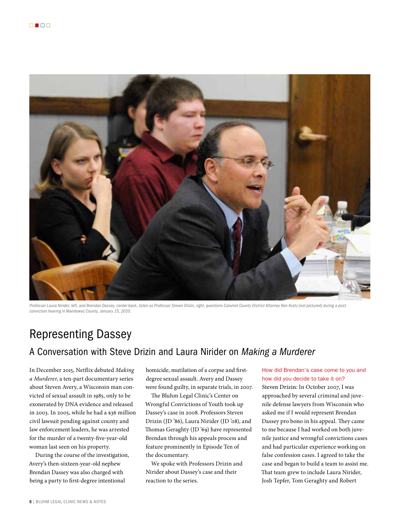

*Professor Laura Nirider, left, and Brendan Dassey, center back, listen as Professor Steven Drizin, right, questions Calumet County District Attorney Ken Kratz (not pictured) during a postconviction hearing in Manitowoc County, January 15, 2010.*

## Representing Dassey

## A Conversation with Steve Drizin and Laura Nirider on *Making a Murderer*

In December 2015, Netflix debuted *Making a Murderer*, a ten-part documentary series about Steven Avery, a Wisconsin man convicted of sexual assault in 1985, only to be exonerated by DNA evidence and released in 2003. In 2005, while he had a \$36 million civil lawsuit pending against county and law enforcement leaders, he was arrested for the murder of a twenty-five-year-old woman last seen on his property.

During the course of the investigation, Avery's then-sixteen-year-old nephew Brendan Dassey was also charged with being a party to first-degree intentional

homicide, mutilation of a corpse and firstdegree sexual assault. Avery and Dassey were found guilty, in separate trials, in 2007.

The Bluhm Legal Clinic's Center on Wrongful Convictions of Youth took up Dassey's case in 2008. Professors Steven Drizin (JD '86), Laura Nirider (JD '08), and Thomas Geraghty (JD '69) have represented Brendan through his appeals process and feature prominently in Episode Ten of the documentary.

We spoke with Professors Drizin and Nirider about Dassey's case and their reaction to the series.

How did Brendan's case come to you and how did you decide to take it on?

Steven Drizin: In October 2007, I was approached by several criminal and juvenile defense lawyers from Wisconsin who asked me if I would represent Brendan Dassey pro bono in his appeal. They came to me because I had worked on both juvenile justice and wrongful convictions cases and had particular experience working on false confession cases. I agreed to take the case and began to build a team to assist me. That team grew to include Laura Nirider, Josh Tepfer, Tom Geraghty and Robert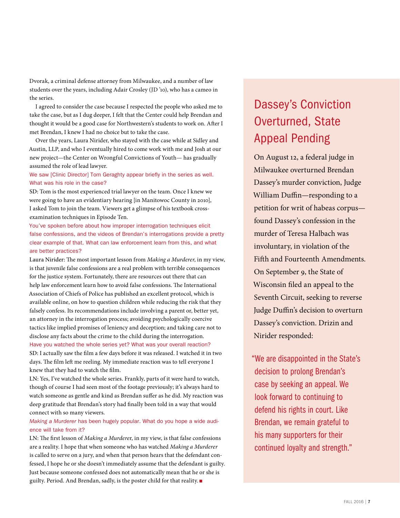Dvorak, a criminal defense attorney from Milwaukee, and a number of law students over the years, including Adair Crosley (JD '10), who has a cameo in the series.

I agreed to consider the case because I respected the people who asked me to take the case, but as I dug deeper, I felt that the Center could help Brendan and thought it would be a good case for Northwestern's students to work on. After I met Brendan, I knew I had no choice but to take the case.

Over the years, Laura Nirider, who stayed with the case while at Sidley and Austin, LLP, and who I eventually hired to come work with me and Josh at our new project—the Center on Wrongful Convictions of Youth— has gradually assumed the role of lead lawyer.

We saw [Clinic Director] Tom Geraghty appear briefly in the series as well. What was his role in the case?

SD: Tom is the most experienced trial lawyer on the team. Once I knew we were going to have an evidentiary hearing [in Manitowoc County in 2010], I asked Tom to join the team. Viewers get a glimpse of his textbook crossexamination techniques in Episode Ten.

You've spoken before about how improper interrogation techniques elicit false confessions, and the videos of Brendan's interrogations provide a pretty clear example of that. What can law enforcement learn from this, and what are better practices?

Laura Nirider: The most important lesson from *Making a Murderer*, in my view, is that juvenile false confessions are a real problem with terrible consequences for the justice system. Fortunately, there are resources out there that can help law enforcement learn how to avoid false confessions. The International Association of Chiefs of Police has published an excellent protocol, which is available online, on how to question children while reducing the risk that they falsely confess. Its recommendations include involving a parent or, better yet, an attorney in the interrogation process; avoiding psychologically coercive tactics like implied promises of leniency and deception; and taking care not to disclose any facts about the crime to the child during the interrogation. Have you watched the whole series yet? What was your overall reaction?

SD: I actually saw the film a few days before it was released. I watched it in two days. The film left me reeling. My immediate reaction was to tell everyone I knew that they had to watch the film.

LN: Yes, I've watched the whole series. Frankly, parts of it were hard to watch, though of course I had seen most of the footage previously; it's always hard to watch someone as gentle and kind as Brendan suffer as he did. My reaction was deep gratitude that Brendan's story had finally been told in a way that would connect with so many viewers.

#### *Making a Murderer* has been hugely popular. What do you hope a wide audience will take from it?

LN: The first lesson of *Making a Murdere*r, in my view, is that false confessions are a reality. I hope that when someone who has watched *Making a Murderer* is called to serve on a jury, and when that person hears that the defendant confessed, I hope he or she doesn't immediately assume that the defendant is guilty. Just because someone confessed does not automatically mean that he or she is guilty. Period. And Brendan, sadly, is the poster child for that reality.

# Dassey's Conviction Overturned, State Appeal Pending

On August 12, a federal judge in Milwaukee overturned Brendan Dassey's murder conviction, Judge William Duffin—responding to a petition for writ of habeas corpus found Dassey's confession in the murder of Teresa Halbach was involuntary, in violation of the Fifth and Fourteenth Amendments. On September 9, the State of Wisconsin filed an appeal to the Seventh Circuit, seeking to reverse Judge Duffin's decision to overturn Dassey's conviction. Drizin and Nirider responded:

"We are disappointed in the State's decision to prolong Brendan's case by seeking an appeal. We look forward to continuing to defend his rights in court. Like Brendan, we remain grateful to his many supporters for their continued loyalty and strength."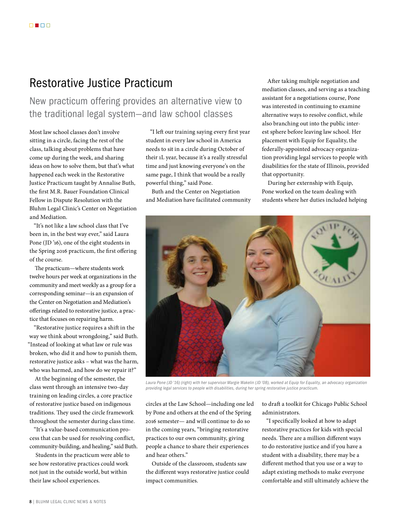## Restorative Justice Practicum

New practicum offering provides an alternative view to the traditional legal system—and law school classes

Most law school classes don't involve sitting in a circle, facing the rest of the class, talking about problems that have come up during the week, and sharing ideas on how to solve them, but that's what happened each week in the Restorative Justice Practicum taught by Annalise Buth, the first M.R. Bauer Foundation Clinical Fellow in Dispute Resolution with the Bluhm Legal Clinic's Center on Negotiation and Mediation.

"It's not like a law school class that I've been in, in the best way ever," said Laura Pone (JD '16), one of the eight students in the Spring 2016 practicum, the first offering of the course.

The practicum—where students work twelve hours per week at organizations in the community and meet weekly as a group for a corresponding seminar—is an expansion of the Center on Negotiation and Mediation's offerings related to restorative justice, a practice that focuses on repairing harm.

"Restorative justice requires a shift in the way we think about wrongdoing," said Buth. "Instead of looking at what law or rule was broken, who did it and how to punish them, restorative justice asks – what was the harm, who was harmed, and how do we repair it?"

At the beginning of the semester, the class went through an intensive two-day training on leading circles, a core practice of restorative justice based on indigenous traditions. They used the circle framework throughout the semester during class time.

"It's a value-based communication process that can be used for resolving conflict, community-building, and healing," said Buth.

Students in the practicum were able to see how restorative practices could work not just in the outside world, but within their law school experiences.

"I left our training saying every first year student in every law school in America needs to sit in a circle during October of their 1L year, because it's a really stressful time and just knowing everyone's on the same page, I think that would be a really powerful thing," said Pone.

Buth and the Center on Negotiation and Mediation have facilitated community

After taking multiple negotiation and mediation classes, and serving as a teaching assistant for a negotiations course, Pone was interested in continuing to examine alternative ways to resolve conflict, while also branching out into the public interest sphere before leaving law school. Her placement with Equip for Equality, the federally-appointed advocacy organization providing legal services to people with disabilities for the state of Illinois, provided that opportunity.

During her externship with Equip, Pone worked on the team dealing with students where her duties included helping



*Laura Pone (JD '16) (right) with her supervisor Margie Wakelin (JD '08), worked at Equip for Equality, an advocacy organization providing legal services to people with disabilities, during her spring restorative justice practicum.*

circles at the Law School—including one led by Pone and others at the end of the Spring 2016 semester— and will continue to do so in the coming years, "bringing restorative practices to our own community, giving people a chance to share their experiences and hear others."

Outside of the classroom, students saw the different ways restorative justice could impact communities.

to draft a toolkit for Chicago Public School administrators.

"I specifically looked at how to adapt restorative practices for kids with special needs. There are a million different ways to do restorative justice and if you have a student with a disability, there may be a different method that you use or a way to adapt existing methods to make everyone comfortable and still ultimately achieve the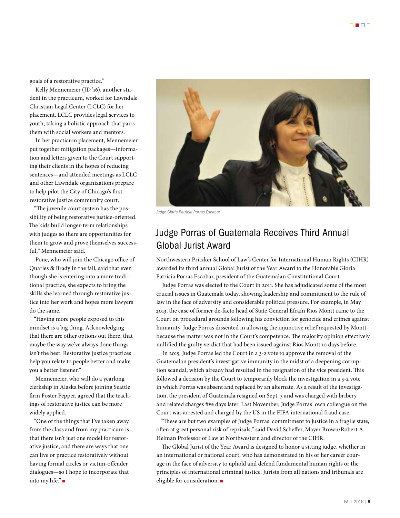goals of a restorative practice."

Kelly Mennemeier (JD '16), another student in the practicum, worked for Lawndale Christian Legal Center (LCLC) for her placement. LCLC provides legal services to youth, taking a holistic approach that pairs them with social workers and mentors.

In her practicum placement, Mennemeier put together mitigation packages—information and letters given to the Court supporting their clients in the hopes of reducing sentences—and attended meetings as LCLC and other Lawndale organizations prepare to help pilot the City of Chicago's first restorative justice community court.

"The juvenile court system has the possibility of being restorative justice-oriented. The kids build longer-term relationships with judges so there are opportunities for them to grow and prove themselves successful," Mennemeier said.

Pone, who will join the Chicago office of Quarles & Brady in the fall, said that even though she is entering into a more traditional practice, she expects to bring the skills she learned through restorative justice into her work and hopes more lawyers do the same.

"Having more people exposed to this mindset is a big thing. Acknowledging that there are other options out there, that maybe the way we've always done things isn't the best. Restorative justice practices help you relate to people better and make you a better listener."

Mennemeier, who will do a yearlong clerkship in Alaska before joining Seattle firm Foster Pepper, agreed that the teachings of restorative justice can be more widely applied.

"One of the things that I've taken away from the class and from my practicum is that there isn't just one model for restorative justice, and there are ways that one can live or practice restoratively without having formal circles or victim-offender dialogues—so I hope to incorporate that into my life." $\blacksquare$ 



*Judge Gloria Patricia Porras Escobar*

## Judge Porras of Guatemala Receives Third Annual Global Jurist Award

Northwestern Pritzker School of Law's Center for International Human Rights (CIHR) awarded its third annual Global Jurist of the Year Award to the Honorable Gloria Patricia Porras Escobar, president of the Guatemalan Constitutional Court.

Judge Porras was elected to the Court in 2011. She has adjudicated some of the most crucial issues in Guatemala today, showing leadership and commitment to the rule of law in the face of adversity and considerable political pressure. For example, in May 2013, the case of former de-facto head of State General Efraín Rios Montt came to the Court on procedural grounds following his conviction for genocide and crimes against humanity. Judge Porras dissented in allowing the injunctive relief requested by Montt because the matter was not in the Court's competence. The majority opinion effectively nullified the guilty verdict that had been issued against Rios Montt 10 days before.

In 2015, Judge Porras led the Court in a 3-2 vote to approve the removal of the Guatemalan president's investigative immunity in the midst of a deepening corruption scandal, which already had resulted in the resignation of the vice president. This followed a decision by the Court to temporarily block the investigation in a 3-2 vote in which Porras was absent and replaced by an alternate. As a result of the investigation, the president of Guatemala resigned on Sept. 3 and was charged with bribery and related charges five days later. Last November, Judge Porras' own colleague on the Court was arrested and charged by the US in the FIFA international fraud case.

"These are but two examples of Judge Porras' commitment to justice in a fragile state, often at great personal risk of reprisals," said David Scheffer, Mayer Brown/Robert A. Helman Professor of Law at Northwestern and director of the CIHR.

The Global Jurist of the Year Award is designed to honor a sitting judge, whether in an international or national court, who has demonstrated in his or her career courage in the face of adversity to uphold and defend fundamental human rights or the principles of international criminal justice. Jurists from all nations and tribunals are eligible for consideration. $\blacksquare$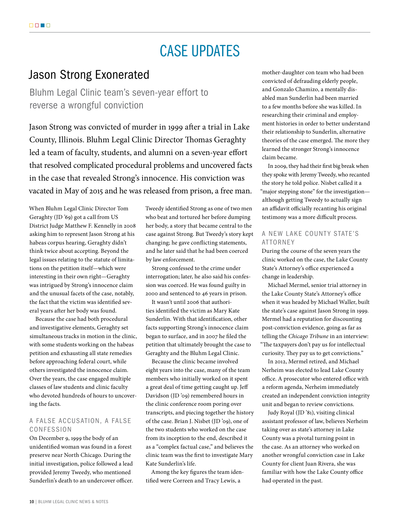# CASE UPDATES

## Jason Strong Exonerated

Bluhm Legal Clinic team's seven-year effort to reverse a wrongful conviction

Jason Strong was convicted of murder in 1999 after a trial in Lake County, Illinois. Bluhm Legal Clinic Director Thomas Geraghty led a team of faculty, students, and alumni on a seven-year effort that resolved complicated procedural problems and uncovered facts in the case that revealed Strong's innocence. His conviction was vacated in May of 2015 and he was released from prison, a free man.

When Bluhm Legal Clinic Director Tom Geraghty (JD '69) got a call from US District Judge Matthew F. Kennelly in 2008 asking him to represent Jason Strong at his habeas corpus hearing, Geraghty didn't think twice about accepting. Beyond the legal issues relating to the statute of limitations on the petition itself—which were interesting in their own right—Geraghty was intrigued by Strong's innocence claim and the unusual facets of the case, notably, the fact that the victim was identified several years after her body was found.

Because the case had both procedural and investigative elements, Geraghty set simultaneous tracks in motion in the clinic, with some students working on the habeas petition and exhausting all state remedies before approaching federal court, while others investigated the innocence claim. Over the years, the case engaged multiple classes of law students and clinic faculty who devoted hundreds of hours to uncovering the facts.

#### A FALSE ACCUSATION, A FALSE CONFESSION

On December 9, 1999 the body of an unidentified woman was found in a forest preserve near North Chicago. During the initial investigation, police followed a lead provided Jeremy Tweedy, who mentioned Sunderlin's death to an undercover officer. Tweedy identified Strong as one of two men who beat and tortured her before dumping her body, a story that became central to the case against Strong. But Tweedy's story kept changing; he gave conflicting statements, and he later said that he had been coerced by law enforcement.

Strong confessed to the crime under interrogation; later, he also said his confession was coerced. He was found guilty in 2000 and sentenced to 46 years in prison.

It wasn't until 2006 that authorities identified the victim as Mary Kate Sunderlin. With that identification, other facts supporting Strong's innocence claim began to surface, and in 2007 he filed the petition that ultimately brought the case to Geraghty and the Bluhm Legal Clinic.

Because the clinic became involved eight years into the case, many of the team members who initially worked on it spent a great deal of time getting caught up. Jeff Davidson (JD '09) remembered hours in the clinic conference room poring over transcripts, and piecing together the history of the case. Brian J. Nisbet (JD '09), one of the two students who worked on the case from its inception to the end, described it as a "complex factual case," and believes the clinic team was the first to investigate Mary Kate Sunderlin's life.

Among the key figures the team identified were Correen and Tracy Lewis, a

mother-daughter con team who had been convicted of defrauding elderly people, and Gonzalo Chamizo, a mentally disabled man Sunderlin had been married to a few months before she was killed. In researching their criminal and employment histories in order to better understand their relationship to Sunderlin, alternative theories of the case emerged. The more they learned the stronger Strong's innocence claim became.

In 2009, they had their first big break when they spoke with Jeremy Tweedy, who recanted the story he told police. Nisbet called it a "major stepping stone" for the investigation although getting Tweedy to actually sign an affidavit officially recanting his original testimony was a more difficult process.

#### A NEW LAKE COUNTY STATE'S ATTORNEY

During the course of the seven years the clinic worked on the case, the Lake County State's Attorney's office experienced a change in leadership.

Michael Mermel, senior trial attorney in the Lake County State's Attorney's office when it was headed by Michael Waller, built the state's case against Jason Strong in 1999. Mermel had a reputation for discounting post-conviction evidence, going as far as telling the *Chicago Tribune* in an interview: "The taxpayers don't pay us for intellectual curiosity. They pay us to get convictions."

In 2012, Mermel retired, and Michael Nerheim was elected to lead Lake County office. A prosecutor who entered office with a reform agenda, Nerheim immediately created an independent conviction integrity unit and began to review convictions.

Judy Royal (JD '81), visiting clinical assistant professor of law, believes Nerheim taking over as state's attorney in Lake County was a pivotal turning point in the case. As an attorney who worked on another wrongful conviction case in Lake County for client Juan Rivera, she was familiar with how the Lake County office had operated in the past.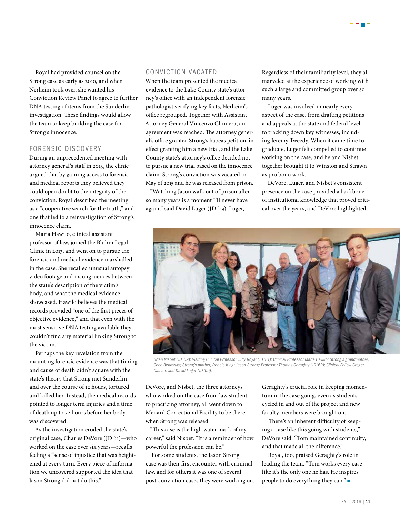Royal had provided counsel on the Strong case as early as 2010, and when Nerheim took over, she wanted his Conviction Review Panel to agree to further DNA testing of items from the Sunderlin investigation. These findings would allow the team to keep building the case for Strong's innocence.

#### FORENSIC DISCOVERY

During an unprecedented meeting with attorney general's staff in 2013, the clinic argued that by gaining access to forensic and medical reports they believed they could open doubt to the integrity of the conviction. Royal described the meeting as a "cooperative search for the truth," and one that led to a reinvestigation of Strong's innocence claim.

Maria Hawilo, clinical assistant professor of law, joined the Bluhm Legal Clinic in 2013, and went on to pursue the forensic and medical evidence marshalled in the case. She recalled unusual autopsy video footage and incongruences between the state's description of the victim's body, and what the medical evidence showcased. Hawilo believes the medical records provided "one of the first pieces of objective evidence," and that even with the most sensitive DNA testing available they couldn't find any material linking Strong to the victim.

Perhaps the key revelation from the mounting forensic evidence was that timing and cause of death didn't square with the state's theory that Strong met Sunderlin, and over the course of 12 hours, tortured and killed her. Instead, the medical records pointed to longer term injuries and a time of death up to 72 hours before her body was discovered.

As the investigation eroded the state's original case, Charles DeVore (JD '11)—who worked on the case over six years—recalls feeling a "sense of injustice that was heightened at every turn. Every piece of information we uncovered supported the idea that Jason Strong did not do this."

#### CONVICTION VACATED

When the team presented the medical evidence to the Lake County state's attorney's office with an independent forensic pathologist verifying key facts, Nerheim's office regrouped. Together with Assistant Attorney General Vincenzo Chimera, an agreement was reached. The attorney general's office granted Strong's habeas petition, in effect granting him a new trial, and the Lake County state's attorney's office decided not to pursue a new trial based on the innocence claim. Strong's conviction was vacated in May of 2015 and he was released from prison.

"Watching Jason walk out of prison after so many years is a moment I'll never have again," said David Luger (JD '09). Luger,

Regardless of their familiarity level, they all marveled at the experience of working with such a large and committed group over so many years.

Luger was involved in nearly every aspect of the case, from drafting petitions and appeals at the state and federal level to tracking down key witnesses, including Jeremy Tweedy. When it came time to graduate, Luger felt compelled to continue working on the case, and he and Nisbet together brought it to Winston and Strawn as pro bono work.

DeVore, Luger, and Nisbet's consistent presence on the case provided a backbone of institutional knowledge that proved critical over the years, and DeVore highlighted



*Brian Nisbet (JD '09); Visiting Clinical Professor Judy Royal (JD '81); Clinical Professor Maria Hawilo; Strong's grandmother, Cece Benovsky; Strong's mother, Debbie King; Jason Strong; Professor Thomas Geraghty (JD '69); Clinical Fellow Greger Calhan; and David Luger (JD '09).*

DeVore, and Nisbet, the three attorneys who worked on the case from law student to practicing attorney, all went down to Menard Correctional Facility to be there when Strong was released.

"This case is the high water mark of my career," said Nisbet. "It is a reminder of how powerful the profession can be."

For some students, the Jason Strong case was their first encounter with criminal law, and for others it was one of several post-conviction cases they were working on. Geraghty's crucial role in keeping momentum in the case going, even as students cycled in and out of the project and new faculty members were brought on.

"There's an inherent difficulty of keeping a case like this going with students," DeVore said. "Tom maintained continuity, and that made all the difference."

Royal, too, praised Geraghty's role in leading the team. "Tom works every case like it's the only one he has. He inspires people to do everything they can." $\blacksquare$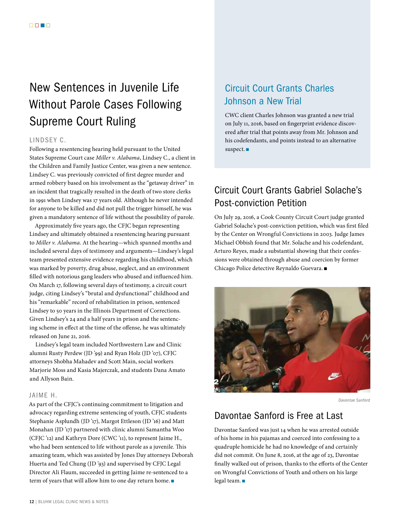# New Sentences in Juvenile Life Without Parole Cases Following Supreme Court Ruling

#### LINDSEY C.

Following a resentencing hearing held pursuant to the United States Supreme Court case *Miller v. Alabama*, Lindsey C., a client in the Children and Family Justice Center, was given a new sentence. Lindsey C. was previously convicted of first degree murder and armed robbery based on his involvement as the "getaway driver" in an incident that tragically resulted in the death of two store clerks in 1991 when Lindsey was 17 years old. Although he never intended for anyone to be killed and did not pull the trigger himself, he was given a mandatory sentence of life without the possibility of parole.

Approximately five years ago, the CFJC began representing Lindsey and ultimately obtained a resentencing hearing pursuant to *Miller v. Alabama*. At the hearing—which spanned months and included several days of testimony and arguments—Lindsey's legal team presented extensive evidence regarding his childhood, which was marked by poverty, drug abuse, neglect, and an environment filled with notorious gang leaders who abused and influenced him. On March 17, following several days of testimony, a circuit court judge, citing Lindsey's "brutal and dysfunctional" childhood and his "remarkable" record of rehabilitation in prison, sentenced Lindsey to 50 years in the Illinois Department of Corrections. Given Lindsey's 24 and a half years in prison and the sentencing scheme in effect at the time of the offense, he was ultimately released on June 21, 2016.

Lindsey's legal team included Northwestern Law and Clinic alumni Rusty Perdew (JD '99) and Ryan Holz (JD '07), CFJC attorneys Shobha Mahadev and Scott Main, social workers Marjorie Moss and Kasia Majerczak, and students Dana Amato and Allyson Bain.

#### JAIME H.

As part of the CFJC's continuing commitment to litigation and advocacy regarding extreme sentencing of youth, CFJC students Stephanie Asplundh (JD '17), Margot Ettleson (JD '16) and Matt Monahan (JD '17) partnered with clinic alumni Samantha Woo (CFJC '12) and Kathryn Dore (CWC '11), to represent Jaime H., who had been sentenced to life without parole as a juvenile. This amazing team, which was assisted by Jones Day attorneys Deborah Huerta and Ted Chung (JD '93) and supervised by CFJC Legal Director Ali Flaum, succeeded in getting Jaime re-sentenced to a term of years that will allow him to one day return home. $\blacksquare$ 

## Circuit Court Grants Charles Johnson a New Trial

CWC client Charles Johnson was granted a new trial on July 11, 2016, based on fingerprint evidence discovered after trial that points away from Mr. Johnson and his codefendants, and points instead to an alternative suspect.  $\blacksquare$ 

## Circuit Court Grants Gabriel Solache's Post-conviction Petition

On July 29, 2016, a Cook County Circuit Court judge granted Gabriel Solache's post-conviction petition, which was first filed by the Center on Wrongful Convictions in 2003. Judge James Michael Obbish found that Mr. Solache and his codefendant, Arturo Reyes, made a substantial showing that their confessions were obtained through abuse and coercion by former Chicago Police detective Reynaldo Guevara.



*Davontae Sanford*

### Davontae Sanford is Free at Last

Davontae Sanford was just 14 when he was arrested outside of his home in his pajamas and coerced into confessing to a quadruple homicide he had no knowledge of and certainly did not commit. On June 8, 2016, at the age of 23, Davontae finally walked out of prison, thanks to the efforts of the Center on Wrongful Convictions of Youth and others on his large legal team. $\blacksquare$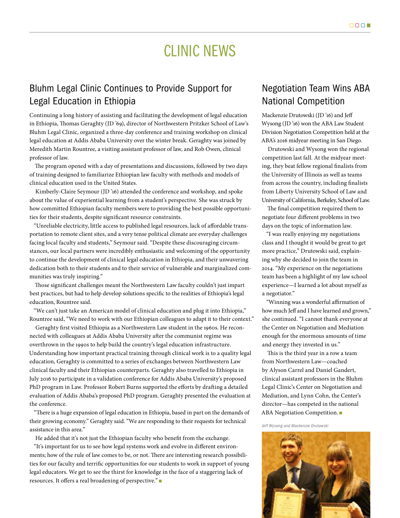# CLINIC NEWS

## Bluhm Legal Clinic Continues to Provide Support for Legal Education in Ethiopia

Continuing a long history of assisting and facilitating the development of legal education in Ethiopia, Thomas Geraghty (JD '69), director of Northwestern Pritzker School of Law's Bluhm Legal Clinic, organized a three-day conference and training workshop on clinical legal education at Addis Ababa University over the winter break. Geraghty was joined by Meredith Martin Rountree, a visiting assistant professor of law, and Rob Owen, clinical professor of law.

The program opened with a day of presentations and discussions, followed by two days of training designed to familiarize Ethiopian law faculty with methods and models of clinical education used in the United States.

Kimberly-Claire Seymour (JD '16) attended the conference and workshop, and spoke about the value of experiential learning from a student's perspective. She was struck by how committed Ethiopian faculty members were to providing the best possible opportunities for their students, despite significant resource constraints.

"Unreliable electricity, little access to published legal resources, lack of affordable transportation to remote client sites, and a very tense political climate are everyday challenges facing local faculty and students," Seymour said. "Despite these discouraging circumstances, our local partners were incredibly enthusiastic and welcoming of the opportunity to continue the development of clinical legal education in Ethiopia, and their unwavering dedication both to their students and to their service of vulnerable and marginalized communities was truly inspiring."

Those significant challenges meant the Northwestern Law faculty couldn't just impart best practices, but had to help develop solutions specific to the realities of Ethiopia's legal education, Rountree said.

"We can't just take an American model of clinical education and plug it into Ethiopia," Rountree said, "We need to work with our Ethiopian colleagues to adapt it to their context."

Geraghty first visited Ethiopia as a Northwestern Law student in the 1960s. He reconnected with colleagues at Addis Ababa University after the communist regime was overthrown in the 1990s to help build the country's legal education infrastructure. Understanding how important practical training through clinical work is to a quality legal education, Geraghty is committed to a series of exchanges between Northwestern Law clinical faculty and their Ethiopian counterparts. Geraghty also travelled to Ethiopia in July 2016 to participate in a validation conference for Addis Ababa University's proposed PhD program in Law. Professor Robert Burns supported the efforts by drafting a detailed evaluation of Addis Ababa's proposed PhD program. Geraghty presented the evaluation at the conference.

"There is a huge expansion of legal education in Ethiopia, based in part on the demands of their growing economy." Geraghty said. "We are responding to their requests for technical assistance in this area."

He added that it's not just the Ethiopian faculty who benefit from the exchange.

"It's important for us to see how legal systems work and evolve in different environments; how of the rule of law comes to be, or not. There are interesting research possibilities for our faculty and terrific opportunities for our students to work in support of young legal educators. We get to see the thirst for knowledge in the face of a staggering lack of resources. It offers a real broadening of perspective."

## Negotiation Team Wins ABA National Competition

Mackenzie Drutowski (JD '16) and Jeff Wysong (JD '16) won the ABA Law Student Division Negotiation Competition held at the ABA's 2016 midyear meeting in San Diego.

Drutowski and Wysong won the regional competition last fall. At the midyear meeting, they beat fellow regional finalists from the University of Illinois as well as teams from across the country, including finalists from Liberty University School of Law and University of California, Berkeley, School of Law.

The final competition required them to negotiate four different problems in two days on the topic of information law.

"I was really enjoying my negotiations class and I thought it would be great to get more practice," Drutowski said, explaining why she decided to join the team in 2014. "My experience on the negotiations team has been a highlight of my law school experience—I learned a lot about myself as a negotiator."

"Winning was a wonderful affirmation of how much Jeff and I have learned and grown," she continued. "I cannot thank everyone at the Center on Negotiation and Mediation enough for the enormous amounts of time and energy they invested in us."

This is the third year in a row a team from Northwestern Law—coached by Alyson Carrel and Daniel Gandert, clinical assistant professors in the Bluhm Legal Clinic's Center on Negotiation and Mediation, and Lynn Cohn, the Center's director—has competed in the national ABA Negotiation Competition.

*Jeff Wysong and Mackenzie Drutowski*

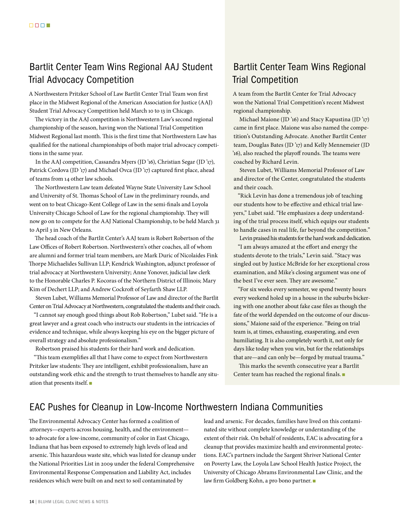## Bartlit Center Team Wins Regional AAJ Student Trial Advocacy Competition

A Northwestern Pritzker School of Law Bartlit Center Trial Team won first place in the Midwest Regional of the American Association for Justice (AAJ) Student Trial Advocacy Competition held March 10 to 13 in Chicago.

The victory in the AAJ competition is Northwestern Law's second regional championship of the season, having won the National Trial Competition Midwest Regional last month. This is the first time that Northwestern Law has qualified for the national championships of both major trial advocacy competitions in the same year.

In the AAJ competition, Cassandra Myers (JD '16), Christian Segar (JD '17), Patrick Cordova (JD'17) and Michael Ovca (JD'17) captured first place, ahead of teams from 14 other law schools.

The Northwestern Law team defeated Wayne State University Law School and University of St. Thomas School of Law in the preliminary rounds, and went on to beat Chicago-Kent College of Law in the semi-finals and Loyola University Chicago School of Law for the regional championship. They will now go on to compete for the AAJ National Championship, to be held March 31 to April 3 in New Orleans.

The head coach of the Bartlit Center's AAJ team is Robert Robertson of the Law Offices of Robert Robertson. Northwestern's other coaches, all of whom are alumni and former trial team members, are Mark Duric of Nicolaides Fink Thorpe Michaelides Sullivan LLP; Kendrick Washington, adjunct professor of trial advocacy at Northwestern University; Anne Yonover, judicial law clerk to the Honorable Charles P. Kocoras of the Northern District of Illinois; Mary Kim of Dechert LLP; and Andrew Cockroft of Seyfarth Shaw LLP.

Steven Lubet, Williams Memorial Professor of Law and director of the Bartlit Center on Trial Advocacy at Northwestern, congratulated the students and their coach.

"I cannot say enough good things about Rob Robertson," Lubet said. "He is a great lawyer and a great coach who instructs our students in the intricacies of evidence and technique, while always keeping his eye on the bigger picture of overall strategy and absolute professionalism."

Robertson praised his students for their hard work and dedication.

"This team exemplifies all that I have come to expect from Northwestern Pritzker law students: They are intelligent, exhibit professionalism, have an outstanding work ethic and the strength to trust themselves to handle any situation that presents itself.  $\square$ 

## Bartlit Center Team Wins Regional Trial Competition

A team from the Bartlit Center for Trial Advocacy won the National Trial Competition's recent Midwest regional championship.

Michael Maione (JD '16) and Stacy Kapustina (JD '17) came in first place. Maione was also named the competition's Outstanding Advocate. Another Bartlit Center team, Douglas Bates (JD '17) and Kelly Mennemeier (JD '16), also reached the playoff rounds. The teams were coached by Richard Levin.

Steven Lubet, Williams Memorial Professor of Law and director of the Center, congratulated the students and their coach.

"Rick Levin has done a tremendous job of teaching our students how to be effective and ethical trial lawyers," Lubet said. "He emphasizes a deep understanding of the trial process itself, which equips our students to handle cases in real life, far beyond the competition."

Levin praised his students for the hard work and dedication. "I am always amazed at the effort and energy the students devote to the trials," Levin said. "Stacy was singled out by Justice McBride for her exceptional cross examination, and Mike's closing argument was one of the best I've ever seen. They are awesome."

"For six weeks every semester, we spend twenty hours every weekend holed up in a house in the suburbs bickering with one another about fake case files as though the fate of the world depended on the outcome of our discussions," Maione said of the experience. "Being on trial team is, at times, exhausting, exasperating, and even humiliating. It is also completely worth it, not only for days like today when you win, but for the relationships that are—and can only be—forged by mutual trauma."

This marks the seventh consecutive year a Bartlit Center team has reached the regional finals.  $\blacksquare$ 

### EAC Pushes for Cleanup in Low-Income Northwestern Indiana Communities

The Environmental Advocacy Center has formed a coalition of attorneys—experts across housing, health, and the environment to advocate for a low-income, community of color in East Chicago, Indiana that has been exposed to extremely high levels of lead and arsenic. This hazardous waste site, which was listed for cleanup under the National Priorities List in 2009 under the federal Comprehensive Environmental Response Compensation and Liability Act, includes residences which were built on and next to soil contaminated by

lead and arsenic. For decades, families have lived on this contaminated site without complete knowledge or understanding of the extent of their risk. On behalf of residents, EAC is advocating for a cleanup that provides maximize health and environmental protections. EAC's partners include the Sargent Shriver National Center on Poverty Law, the Loyola Law School Health Justice Project, the University of Chicago Abrams Environmental Law Clinic, and the law firm Goldberg Kohn, a pro bono partner.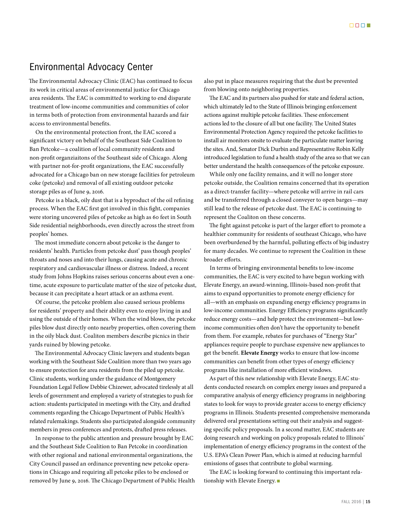#### Environmental Advocacy Center

The Environmental Advocacy Clinic (EAC) has continued to focus its work in critical areas of environmental justice for Chicago area residents. The EAC is committed to working to end disparate treatment of low-income communities and communities of color in terms both of protection from environmental hazards and fair access to environmental benefits.

On the environmental protection front, the EAC scored a significant victory on behalf of the Southeast Side Coalition to Ban Petcoke—a coalition of local community residents and non-profit organziaitons of the Southeast side of Chicago. Along with partner not-for-profit organizations, the EAC successfully advocated for a Chicago ban on new storage facilities for petroleum coke (petcoke) and removal of all existing outdoor petcoke storage piles as of June 9, 2016.

Petcoke is a black, oily dust that is a byproduct of the oil refining process. When the EAC first got involved in this fight, companies were storing uncovered piles of petcoke as high as 60 feet in South Side residential neighborhoods, even directly across the street from peoples' homes.

The most immediate concern about petcoke is the danger to residents' health. Particles from petcoke dust' pass though peoples' throats and noses and into their lungs, causing acute and chronic respiratory and cardiovascular illness or distress. Indeed, a recent study from Johns Hopkins raises serious concerns about even a onetime, acute exposure to particulate matter of the size of petcoke dust, because it can precipitate a heart attack or an asthma event.

Of course, the petcoke problem also caused serious problems for residents' property and their ability even to enjoy living in and using the outside of their homes. When the wind blows, the petcoke piles blow dust directly onto nearby properties, often covering them in the oily black dust. Coaliton members describe picnics in their yards ruined by blowing petcoke.

The Environmental Advocacy Clinic lawyers and students began working with the Southeast Side Coalition more than two years ago to ensure protection for area residents from the piled up petcoke. Clinic students, working under the guidance of Montgomery Foundation Legal Fellow Debbie Chizewer, advocated tirelessly at all levels of government and employed a variety of strategies to push for action: students participated in meetings with the City, and drafted comments regarding the Chicago Department of Public Health's related rulemakings. Students slso participated alongside community members in press conferences and protests, drafted press releases.

In response to the public attention and pressure brought by EAC and the Southeast Side Coalition to Ban Petcoke in coordination with other regional and national environmental organizations, the City Council passed an ordinance preventing new petcoke operations in Chicago and requiring all petcoke piles to be enclosed or removed by June 9, 2016. The Chicago Department of Public Health also put in place measures requiring that the dust be prevented from blowing onto neighboring properties.

The EAC and its partners also pushed for state and federal action, which ultimately led to the State of Illinois bringing enforcement actions against multiple petcoke facilities. These enforcement actions led to the closure of all but one facility. The United States Environmental Protection Agency required the petcoke facilities to install air monitors onsite to evaluate the particulate matter leaving the sites. And, Senator Dick Durbin and Representative Robin Kelly introduced legislation to fund a health study of the area so that we can better understand the health consequences of the petcoke exposure.

While only one facility remains, and it will no longer store petcoke outside, the Coalition remains concerned that its operation as a direct-transfer facility—where petcoke will arrive in rail cars and be transferred through a closed conveyer to open barges—may still lead to the release of petcoke dust. The EAC is continuing to represent the Coaliton on these concerns.

The fight against petcoke is part of the larger effort to promote a healthier community for residents of southeast Chicago, who have been overburdened by the harmful, polluting effects of big industry for many decades. We continue to represent the Coalition in these broader efforts.

In terms of bringing environmental benefits to low-income communities, the EAC is very excited to have begun working with Elevate Energy, an award-winning, Illinois-based non-profit that aims to expand opportunities to promote energy efficiency for all—with an emphasis on expanding energy efficiency programs in low-income communities. Energy Efficiency programs significantly reduce energy costs—and help protect the environment—but lowincome communities often don't have the opportunity to benefit from them. For example, rebates for purchases of "Energy Star" appliances require people to purchase expensive new appliances to get the benefit. **Elevate Energy** works to ensure that low-income communities can benefit from other types of energy efficiency programs like installation of more efficient windows.

As part of this new relationship with Elevate Energy, EAC students conducted research on complex energy issues and prepared a comparative analysis of energy efficiency programs in neighboring states to look for ways to provide greater access to energy efficiency programs in Illinois. Students presented comprehensive memoranda delivered oral presentations setting out their analysis and suggesting specific policy proposals. In a second matter, EAC students are doing research and working on policy proposals related to Illinois' implementation of energy efficiency programs in the context of the U.S. EPA's Clean Power Plan, which is aimed at reducing harmful emissions of gases that contribute to global warming.

The EAC is looking forward to continuing this important relationship with Elevate Energy.  $\blacksquare$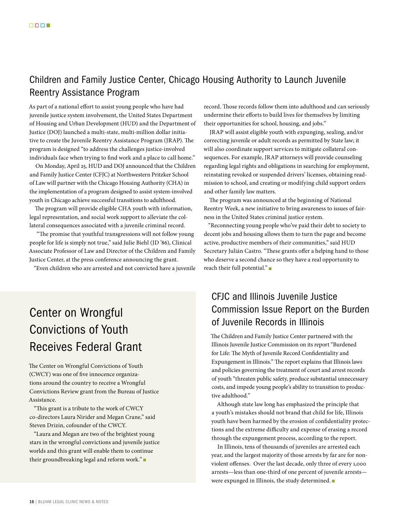## Children and Family Justice Center, Chicago Housing Authority to Launch Juvenile Reentry Assistance Program

As part of a national effort to assist young people who have had juvenile justice system involvement, the United States Department of Housing and Urban Development (HUD) and the Department of Justice (DOJ) launched a multi-state, multi-million dollar initiative to create the Juvenile Reentry Assistance Program (JRAP). The program is designed "to address the challenges justice-involved individuals face when trying to find work and a place to call home."

On Monday, April 25, HUD and DOJ announced that the Children and Family Justice Center (CFJC) at Northwestern Pritzker School of Law will partner with the Chicago Housing Authority (CHA) in the implementation of a program designed to assist system-involved youth in Chicago achieve successful transitions to adulthood.

The program will provide eligible CHA youth with information, legal representation, and social work support to alleviate the collateral consequences associated with a juvenile criminal record.

 "The promise that youthful transgressions will not follow young people for life is simply not true," said Julie Biehl (JD '86), Clinical Associate Professor of Law and Director of the Children and Family Justice Center, at the press conference announcing the grant.

"Even children who are arrested and not convicted have a juvenile

# Center on Wrongful Convictions of Youth Receives Federal Grant

The Center on Wrongful Convictions of Youth (CWCY) was one of five innocence organizations around the country to receive a Wrongful Convictions Review grant from the Bureau of Justice Assistance.

"This grant is a tribute to the work of CWCY co-directors Laura Nirider and Megan Crane," said Steven Drizin, cofounder of the CWCY.

"Laura and Megan are two of the brightest young stars in the wrongful convictions and juvenile justice worlds and this grant will enable them to continue their groundbreaking legal and reform work." $\blacksquare$ 

record. Those records follow them into adulthood and can seriously undermine their efforts to build lives for themselves by limiting their opportunities for school, housing, and jobs."

JRAP will assist eligible youth with expunging, sealing, and/or correcting juvenile or adult records as permitted by State law; it will also coordinate support services to mitigate collateral consequences. For example, JRAP attorneys will provide counseling regarding legal rights and obligations in searching for employment, reinstating revoked or suspended drivers' licenses, obtaining readmission to school, and creating or modifying child support orders and other family law matters.

The program was announced at the beginning of National Reentry Week, a new initiative to bring awareness to issues of fairness in the United States criminal justice system.

"Reconnecting young people who've paid their debt to society to decent jobs and housing allows them to turn the page and become active, productive members of their communities," said HUD Secretary Julián Castro. "These grants offer a helping hand to those who deserve a second chance so they have a real opportunity to reach their full potential." $\blacksquare$ 

## CFJC and Illinois Juvenile Justice Commission Issue Report on the Burden of Juvenile Records in Illinois

The Children and Family Justice Center partnered with the Illinois Juvenile Justice Commission on its report "Burdened for Life: The Myth of Juvenile Record Confidentiality and Expungement in Illinois." The report explains that Illinois laws and policies governing the treatment of court and arrest records of youth "threaten public safety, produce substantial unnecessary costs, and impede young people's ability to transition to productive adulthood."

Although state law long has emphasized the principle that a youth's mistakes should not brand that child for life, Illinois youth have been harmed by the erosion of confidentiality protections and the extreme difficulty and expense of erasing a record through the expungement process, according to the report.

In Illinois, tens of thousands of juveniles are arrested each year, and the largest majority of those arrests by far are for nonviolent offenses. Over the last decade, only three of every 1,000 arrests—less than one-third of one percent of juvenile arrests were expunged in Illinois, the study determined.  $\blacksquare$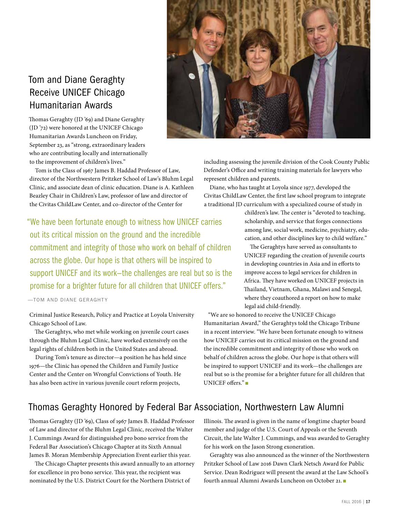## Tom and Diane Geraghty Receive UNICEF Chicago Humanitarian Awards

Thomas Geraghty (JD '69) and Diane Geraghty (JD '72) were honored at the UNICEF Chicago Humanitarian Awards Luncheon on Friday, September 23, as "strong, extraordinary leaders who are contributing locally and internationally to the improvement of children's lives."

Tom is the Class of 1967 James B. Haddad Professor of Law, director of the Northwestern Pritzker School of Law's Bluhm Legal Clinic, and associate dean of clinic education. Diane is A. Kathleen Beazley Chair in Children's Law, professor of law and director of the Civitas ChildLaw Center, and co-director of the Center for

"We have been fortunate enough to witness how UNICEF carries out its critical mission on the ground and the incredible commitment and integrity of those who work on behalf of children across the globe. Our hope is that others will be inspired to support UNICEF and its work—the challenges are real but so is the promise for a brighter future for all children that UNICEF offers."

—TOM AND DIANE GERAGHTY

Criminal Justice Research, Policy and Practice at Loyola University Chicago School of Law.

The Geraghtys, who met while working on juvenile court cases through the Bluhm Legal Clinic, have worked extensively on the legal rights of children both in the United States and abroad.

During Tom's tenure as director—a position he has held since 1976—the Clinic has opened the Children and Family Justice Center and the Center on Wrongful Convictions of Youth. He has also been active in various juvenile court reform projects,



including assessing the juvenile division of the Cook County Public Defender's Office and writing training materials for lawyers who represent children and parents.

Diane, who has taught at Loyola since 1977, developed the Civitas ChildLaw Center, the first law school program to integrate a traditional JD curriculum with a specialized course of study in

> children's law. The center is "devoted to teaching, scholarship, and service that forges connections among law, social work, medicine, psychiatry, education, and other disciplines key to child welfare."

The Geraghtys have served as consultants to UNICEF regarding the creation of juvenile courts in developing countries in Asia and in efforts to improve access to legal services for children in Africa. They have worked on UNICEF projects in Thailand, Vietnam, Ghana, Malawi and Senegal, where they coauthored a report on how to make legal aid child-friendly.

"We are so honored to receive the UNICEF Chicago Humanitarian Award," the Geraghtys told the Chicago Tribune in a recent interview. "We have been fortunate enough to witness how UNICEF carries out its critical mission on the ground and the incredible commitment and integrity of those who work on behalf of children across the globe. Our hope is that others will be inspired to support UNICEF and its work—the challenges are real but so is the promise for a brighter future for all children that UNICEF offers."

## Thomas Geraghty Honored by Federal Bar Association, Northwestern Law Alumni

Thomas Geraghty (JD '69), Class of 1967 James B. Haddad Professor of Law and director of the Bluhm Legal Clinic, received the Walter J. Cummings Award for distinguished pro bono service from the Federal Bar Association's Chicago Chapter at its Sixth Annual James B. Moran Membership Appreciation Event earlier this year.

The Chicago Chapter presents this award annually to an attorney for excellence in pro bono service. This year, the recipient was nominated by the U.S. District Court for the Northern District of

Illinois. The award is given in the name of longtime chapter board member and judge of the U.S. Court of Appeals or the Seventh Circuit, the late Walter J. Cummings, and was awarded to Geraghty for his work on the Jason Strong exoneration.

Geraghty was also announced as the winner of the Northwestern Pritzker School of Law 2016 Dawn Clark Netsch Award for Public Service. Dean Rodriguez will present the award at the Law School's fourth annual Alumni Awards Luncheon on October 21. <sup>n</sup>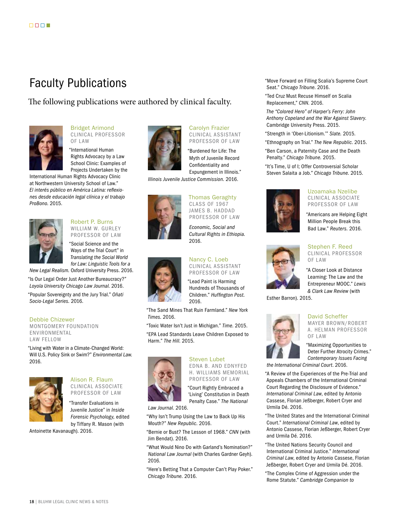## Faculty Publications

The following publications were authored by clinical faculty.



Bridget Arimond CLINICAL PROFESSOR OF LAW

"International Human Rights Advocacy by a Law School Clinic: Examples of Projects Undertaken by the

International Human Rights Advocacy Clinic at Northwestern University School of Law." *El interés público en América Latina: reflexiones desde educación legal clínica y el trabajo ProBono.* 2015.



#### Robert P. Burns WILLIAM W. GURLEY PROFESSOR OF LAW

"Social Science and the Ways of the Trial Court" in *Translating the Social World for Law: Linguistic Tools for a* 

*New Legal Realism.* Oxford University Press. 2016.

"Is Our Legal Order Just Another Bureaucracy?" *Loyola University Chicago Law Journal.* 2016.

"Popular Sovereignty and the Jury Trial." *Oñati Socio-Legal Series.* 2016.

#### Debbie Chizewer

MONTGOMERY FOUNDATION ENVIRONMENTAL LAW FELLOW

"Living with Water in a Climate-Changed World: Will U.S. Policy Sink or Swim?" *Environmental Law.*  2016.



#### Alison R. Flaum CLINICAL ASSOCIATE PROFESSOR OF LAW

"Transfer Evaluations in Juvenile Justice" in *Inside Forensic Psychology,* edited by Tiffany R. Mason (with

Antoinette Kavanaugh). 2016.



#### Carolyn Frazier CLINICAL ASSISTANT PROFESSOR OF LAW

"Burdened for Life: The Myth of Juvenile Record Confidentiality and Expungement in Illinois."

*Illinois Juvenile Justice Commission.* 2016.



#### *Economic, Social and Cultural Rights in Ethiopia.* 2016.

Thomas Geraghty CLASS OF 1967 JAMES B. HADDAD PROFESSOR OF LAW

#### Nancy C. Loeb CLINICAL ASSISTANT PROFESSOR OF LAW

"Lead Paint is Harming Hundreds of Thousands of Children." *Huffington Post.* 2016.

"The Sand Mines That Ruin Farmland." *New York Times.* 2016.

"Toxic Water Isn't Just in Michigan." *Time*. 2015. "EPA Lead Standards Leave Children Exposed to Harm." *The Hill*. 2015.



#### Steven Lubet EDNA B. AND EDNYFED H. WILLIAMS MEMORIAL PROFESSOR OF LAW

"Court Rightly Embraced a 'Living' Constitution in Death Penalty Case." *The National* 

*Law Journal.* 2016.

"Why Isn't Trump Using the Law to Back Up His Mouth?" *New Republic.* 2016.

"Bernie or Bust? The Lesson of 1968." *CNN* (with Jim Bendat). 2016.

"What Would Nino Do with Garland's Nomination?" *National Law Journal* (with Charles Gardner Geyh). 2016.

"Here's Betting That a Computer Can't Play Poker." *Chicago Tribune.* 2016.

"Move Forward on Filling Scalia's Supreme Court Seat." *Chicago Tribune.* 2016.

"Ted Cruz Must Recuse Himself on Scalia Replacement," *CNN.* 2016.

*The "Colored Hero" of Harper's Ferry: John Anthony Copeland and the War Against Slavery*. Cambridge University Press. 2015.

"Strength in 'Ober-Litionism.'" *Slate.* 2015.

"Ethnography on Trial." *The New Republic*. 2015.

"Ben Carson, a Paternity Case and the Death Penalty." *Chicago Tribune.* 2015.

"It's Time, U of I; Offer Controversial Scholar Steven Salaita a Job." *Chicago Tribune.* 2015.

#### Uzoamaka Nzelibe CLINICAL ASSOCIATE

PROFESSOR OF LAW "Americans are Helping Eight

Million People Break this Bad Law." *Reuters.* 2016.



Stephen F. Reed CLINICAL PROFESSOR OF LAW

"A Closer Look at Distance Learning: The Law and the Entrepreneur MOOC." *Lewis & Clark Law Review* (with

Esther Barron). 2015.

#### David Scheffer

MAYER BROWN/ROBERT A. HELMAN PROFESSOR OF LAW

"Maximizing Opportunities to Deter Further Atrocity Crimes." *Contemporary Issues Facing* 

*the International Criminal Court*. 2016.

"A Review of the Experiences of the Pre-Trial and Appeals Chambers of the International Criminal Court Regarding the Disclosure of Evidence." *International Criminal Law*, edited by Antonio Cassese, Florian Jeßberger, Robert Cryer and Urmila Dé. 2016.

"The United States and the International Criminal Court." *International Criminal Law*, edited by Antonio Cassese, Florian Jeßberger, Robert Cryer and Urmila Dé. 2016.

"The United Nations Security Council and International Criminal Justice." *International Criminal Law*, edited by Antonio Cassese, Florian Jeßberger, Robert Cryer and Urmila Dé. 2016.

"The Complex Crime of Aggression under the Rome Statute." *Cambridge Companion to* 

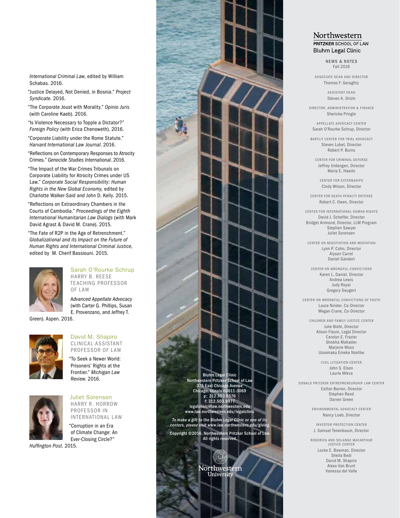*International Criminal Law*, edited by William Schabas. 2016.

"Justice Delayed, Not Denied, in Bosnia." *Project Syndicate.* 2016.

"The Corporate Joust with Morality." *Opinio Juris*  (with Caroline Kaeb). 2016.

"Is Violence Necessary to Topple a Dictator?" *Foreign Policy* (with Erica Chenoweth). 2016.

"Corporate Liability under the Rome Statute." *Harvard International Law Journal*. 2016.

"Reflections on Contemporary Responses to Atrocity Crimes." *Genocide Studies International*. 2016.

"The Impact of the War Crimes Tribunals on Corporate Liability for Atrocity Crimes under US Law." *Corporate Social Responsibility: Human Rights in the New Global Economy,* edited by Charlotte Walker-Said and John D. Kelly. 2015.

"Reflections on Extraordinary Chambers in the Courts of Cambodia." *Proceedings of the Eighth International Humanitarian Law Dialogs* (with Mark David Agrast & David M. Crane). 2015.

"The Fate of R2P in the Age of Retrenchment." *Globalizational and its Impact on the Future of Human Rights and International Criminal Justice,*  edited by M. Cherif Bassiouni. 2015.



Sarah O'Rourke Schrup HARRY B. REESE TEACHING PROFESSOR OF LAW

*Advanced Appellate Advocacy*  (with Carter G. Phillips, Susan E. Provenzano, and Jeffrey T.

Green). Aspen. 2016.



#### David M. Shapiro CLINICAL ASSISTANT PROFESSOR OF LAW

"To Seek a Newer World: Prisoners' Rights at the Frontier." *Michigan Law Review*. 2016.



Juliet Sorensen HARRY R. HORROW PROFESSOR IN INTERNATIONAL LAW

"Corruption in an Era of Climate Change: An Ever-Closing Circle?"

*Huffington Post*. 2015.



#### Northwestern PRITZKER SCHOOL OF LAW **Bluhm Legal Clinic**

NEWS & NOTES Fall 2016

ASSOCIATE DEAN AND DIRECTOR Thomas F. Geraghty

> ASSISTANT DEAN Steven A. Drizin

DIRECTOR, ADMINISTRATION & FINANCE Shericka Pringle

APPELLATE ADVOCACY CENTER Sarah O'Rourke Schrup, Director

BARTLIT CENTER FOR TRIAL ADVOCACY Steven Lubet, Director Robert P. Burns

CENTER FOR CRIMINAL DEFENSE Jeffrey Urdangen, Director Maria E. Hawilo

CENTER FOR EXTERNSHIPS Cindy Wilson, Director

CENTER FOR DEATH PENALTY DEFENSE Robert C. Owen, Director

CENTER FOR INTERNATIONAL HUMAN RIGHTS David J. Scheffer, Director Bridget Arimond, Director, LLM Program Stephen Sawyer Juliet Sorensen

CENTER ON NEGOTIATION AND MEDIATION Lynn P. Cohn, Director Alyson Carrel Daniel Gandert

CENTER ON WRONGFUL CONVICTIONS Karen L. Daniel, Director Andrea Lewis Judy Royal Gregory Swygert

CENTER ON WRONGFUL CONVICTIONS OF YOUTH Laura Nirider, Co-Director Megan Crane, Co-Director

CHILDREN AND FAMILY JUSTICE CENTER Julie Biehl, Director Alison Flaum, Legal Director Carolyn E. Frazier Shobha Mahadev Mariorie Moss Uzoamaka Emeka Nzelibe

> CIVIL LITIGATION CENTER John S. Elson Laurie Mikva

DONALD PRITZKER ENTREPRENEURSHIP LAW CENTER Esther Barron, Director Stephen Reed Darren Green

> ENVIRONMENTAL ADVOCACY CENTER Nancy Loeb, Director

INVESTOR PROTECTION CENTER J. Samuel Tenenbaum, Director

RODERICK AND SOLANGE MACARTHUR

JUSTICE CENTER Locke E. Bowman, Director Sheila Bedi David M. Shapiro Alexa Van Brunt Vanessa del Valle